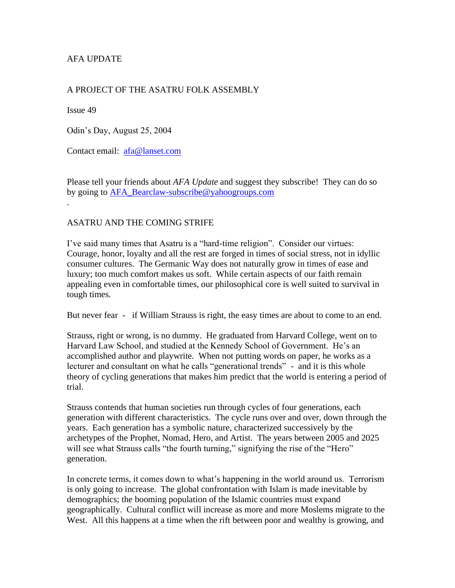## AFA UPDATE

#### A PROJECT OF THE ASATRU FOLK ASSEMBLY

Issue 49

Odin's Day, August 25, 2004

Contact email: [afa@lanset.com](mailto:afa@lanset.com)

Please tell your friends about *AFA Update* and suggest they subscribe! They can do so by going to [AFA\\_Bearclaw-subscribe@yahoogroups.com](mailto:AFA_Bearclaw-subscribe@yahoogroups.com) .

#### ASATRU AND THE COMING STRIFE

I've said many times that Asatru is a "hard-time religion". Consider our virtues: Courage, honor, loyalty and all the rest are forged in times of social stress, not in idyllic consumer cultures. The Germanic Way does not naturally grow in times of ease and luxury; too much comfort makes us soft. While certain aspects of our faith remain appealing even in comfortable times, our philosophical core is well suited to survival in tough times.

But never fear - if William Strauss is right, the easy times are about to come to an end.

Strauss, right or wrong, is no dummy. He graduated from Harvard College, went on to Harvard Law School, and studied at the Kennedy School of Government. He's an accomplished author and playwrite. When not putting words on paper, he works as a lecturer and consultant on what he calls "generational trends" - and it is this whole theory of cycling generations that makes him predict that the world is entering a period of trial.

Strauss contends that human societies run through cycles of four generations, each generation with different characteristics. The cycle runs over and over, down through the years. Each generation has a symbolic nature, characterized successively by the archetypes of the Prophet, Nomad, Hero, and Artist. The years between 2005 and 2025 will see what Strauss calls "the fourth turning," signifying the rise of the "Hero" generation.

In concrete terms, it comes down to what's happening in the world around us. Terrorism is only going to increase. The global confrontation with Islam is made inevitable by demographics; the booming population of the Islamic countries must expand geographically. Cultural conflict will increase as more and more Moslems migrate to the West. All this happens at a time when the rift between poor and wealthy is growing, and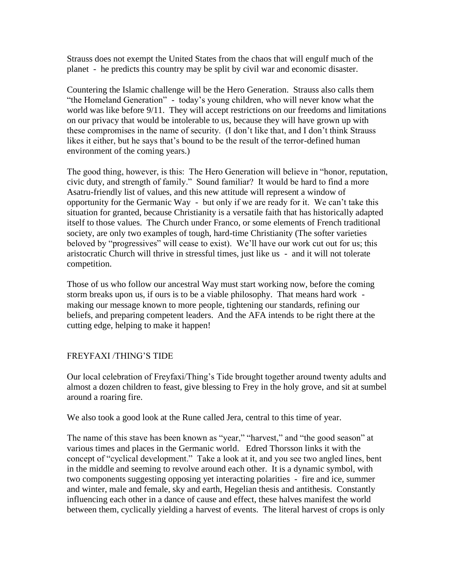Strauss does not exempt the United States from the chaos that will engulf much of the planet - he predicts this country may be split by civil war and economic disaster.

Countering the Islamic challenge will be the Hero Generation. Strauss also calls them "the Homeland Generation" - today's young children, who will never know what the world was like before 9/11. They will accept restrictions on our freedoms and limitations on our privacy that would be intolerable to us, because they will have grown up with these compromises in the name of security. (I don't like that, and I don't think Strauss likes it either, but he says that's bound to be the result of the terror-defined human environment of the coming years.)

The good thing, however, is this: The Hero Generation will believe in "honor, reputation, civic duty, and strength of family." Sound familiar? It would be hard to find a more Asatru-friendly list of values, and this new attitude will represent a window of opportunity for the Germanic Way - but only if we are ready for it. We can't take this situation for granted, because Christianity is a versatile faith that has historically adapted itself to those values. The Church under Franco, or some elements of French traditional society, are only two examples of tough, hard-time Christianity (The softer varieties beloved by "progressives" will cease to exist). We'll have our work cut out for us; this aristocratic Church will thrive in stressful times, just like us - and it will not tolerate competition.

Those of us who follow our ancestral Way must start working now, before the coming storm breaks upon us, if ours is to be a viable philosophy. That means hard work making our message known to more people, tightening our standards, refining our beliefs, and preparing competent leaders. And the AFA intends to be right there at the cutting edge, helping to make it happen!

### FREYFAXI /THING'S TIDE

Our local celebration of Freyfaxi/Thing's Tide brought together around twenty adults and almost a dozen children to feast, give blessing to Frey in the holy grove, and sit at sumbel around a roaring fire.

We also took a good look at the Rune called Jera, central to this time of year.

The name of this stave has been known as "year," "harvest," and "the good season" at various times and places in the Germanic world. Edred Thorsson links it with the concept of "cyclical development." Take a look at it, and you see two angled lines, bent in the middle and seeming to revolve around each other. It is a dynamic symbol, with two components suggesting opposing yet interacting polarities - fire and ice, summer and winter, male and female, sky and earth, Hegelian thesis and antithesis. Constantly influencing each other in a dance of cause and effect, these halves manifest the world between them, cyclically yielding a harvest of events. The literal harvest of crops is only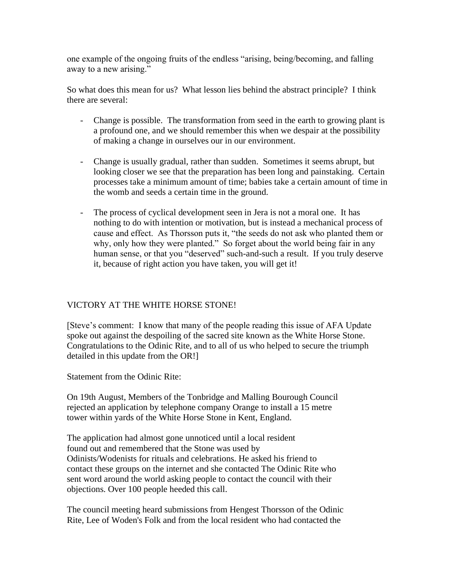one example of the ongoing fruits of the endless "arising, being/becoming, and falling away to a new arising."

So what does this mean for us? What lesson lies behind the abstract principle? I think there are several:

- Change is possible. The transformation from seed in the earth to growing plant is a profound one, and we should remember this when we despair at the possibility of making a change in ourselves our in our environment.
- Change is usually gradual, rather than sudden. Sometimes it seems abrupt, but looking closer we see that the preparation has been long and painstaking. Certain processes take a minimum amount of time; babies take a certain amount of time in the womb and seeds a certain time in the ground.
- The process of cyclical development seen in Jera is not a moral one. It has nothing to do with intention or motivation, but is instead a mechanical process of cause and effect. As Thorsson puts it, "the seeds do not ask who planted them or why, only how they were planted." So forget about the world being fair in any human sense, or that you "deserved" such-and-such a result. If you truly deserve it, because of right action you have taken, you will get it!

### VICTORY AT THE WHITE HORSE STONE!

[Steve's comment: I know that many of the people reading this issue of AFA Update spoke out against the despoiling of the sacred site known as the White Horse Stone. Congratulations to the Odinic Rite, and to all of us who helped to secure the triumph detailed in this update from the OR!]

Statement from the Odinic Rite:

On 19th August, Members of the Tonbridge and Malling Bourough Council rejected an application by telephone company Orange to install a 15 metre tower within yards of the White Horse Stone in Kent, England.

The application had almost gone unnoticed until a local resident found out and remembered that the Stone was used by Odinists/Wodenists for rituals and celebrations. He asked his friend to contact these groups on the internet and she contacted The Odinic Rite who sent word around the world asking people to contact the council with their objections. Over 100 people heeded this call.

The council meeting heard submissions from Hengest Thorsson of the Odinic Rite, Lee of Woden's Folk and from the local resident who had contacted the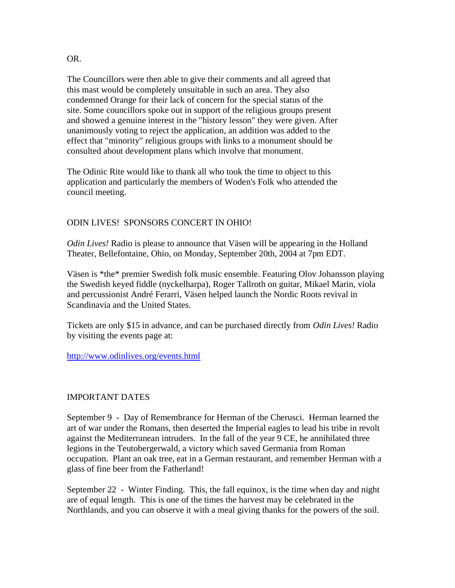#### OR.

The Councillors were then able to give their comments and all agreed that this mast would be completely unsuitable in such an area. They also condemned Orange for their lack of concern for the special status of the site. Some councillors spoke out in support of the religious groups present and showed a genuine interest in the "history lesson" they were given. After unanimously voting to reject the application, an addition was added to the effect that "minority" religious groups with links to a monument should be consulted about development plans which involve that monument.

The Odinic Rite would like to thank all who took the time to object to this application and particularly the members of Woden's Folk who attended the council meeting.

# ODIN LIVES! SPONSORS CONCERT IN OHIO!

*Odin Lives!* Radio is please to announce that Väsen will be appearing in the Holland Theater, Bellefontaine, Ohio, on Monday, September 20th, 2004 at 7pm EDT.

Väsen is \*the\* premier Swedish folk music ensemble. Featuring Olov Johansson playing the Swedish keyed fiddle (nyckelharpa), Roger Tallroth on guitar, Mikael Marin, viola and percussionist André Ferarri, Väsen helped launch the Nordic Roots revival in Scandinavia and the United States.

Tickets are only \$15 in advance, and can be purchased directly from *Odin Lives!* Radio by visiting the events page at:

<http://www.odinlives.org/events.html>

### IMPORTANT DATES

September 9 - Day of Remembrance for Herman of the Cherusci. Herman learned the art of war under the Romans, then deserted the Imperial eagles to lead his tribe in revolt against the Mediterranean intruders. In the fall of the year 9 CE, he annihilated three legions in the Teutobergerwald, a victory which saved Germania from Roman occupation. Plant an oak tree, eat in a German restaurant, and remember Herman with a glass of fine beer from the Fatherland!

September 22 - Winter Finding. This, the fall equinox, is the time when day and night are of equal length. This is one of the times the harvest may be celebrated in the Northlands, and you can observe it with a meal giving thanks for the powers of the soil.